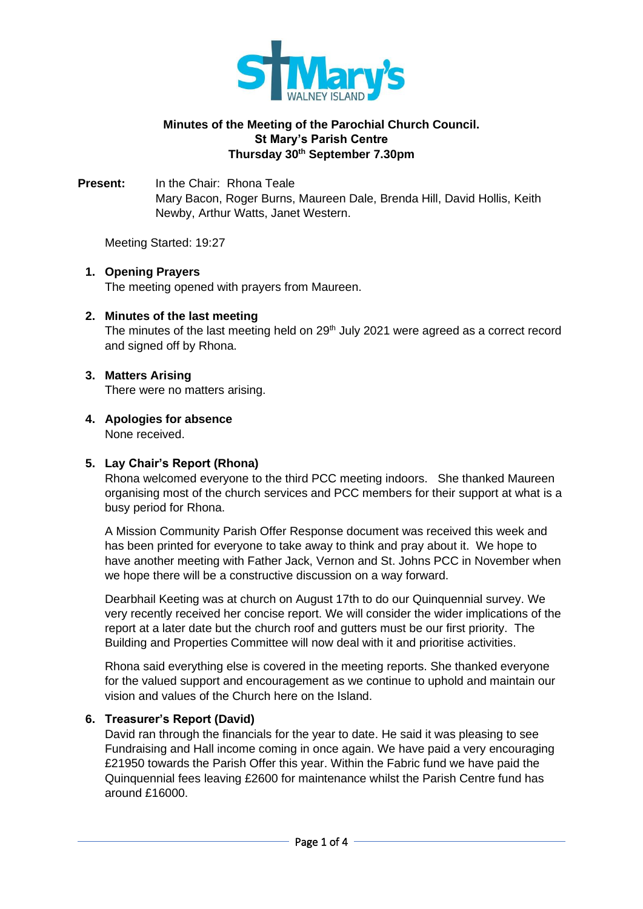

# **Minutes of the Meeting of the Parochial Church Council. St Mary's Parish Centre Thursday 30th September 7.30pm**

**Present:** In the Chair: Rhona Teale Mary Bacon, Roger Burns, Maureen Dale, Brenda Hill, David Hollis, Keith Newby, Arthur Watts, Janet Western.

Meeting Started: 19:27

# **1. Opening Prayers**

The meeting opened with prayers from Maureen.

# **2. Minutes of the last meeting**

The minutes of the last meeting held on  $29<sup>th</sup>$  July 2021 were agreed as a correct record and signed off by Rhona.

# **3. Matters Arising**

There were no matters arising.

# **4. Apologies for absence**

None received.

# **5. Lay Chair's Report (Rhona)**

Rhona welcomed everyone to the third PCC meeting indoors. She thanked Maureen organising most of the church services and PCC members for their support at what is a busy period for Rhona.

A Mission Community Parish Offer Response document was received this week and has been printed for everyone to take away to think and pray about it. We hope to have another meeting with Father Jack, Vernon and St. Johns PCC in November when we hope there will be a constructive discussion on a way forward.

Dearbhail Keeting was at church on August 17th to do our Quinquennial survey. We very recently received her concise report. We will consider the wider implications of the report at a later date but the church roof and gutters must be our first priority. The Building and Properties Committee will now deal with it and prioritise activities.

Rhona said everything else is covered in the meeting reports. She thanked everyone for the valued support and encouragement as we continue to uphold and maintain our vision and values of the Church here on the Island.

# **6. Treasurer's Report (David)**

David ran through the financials for the year to date. He said it was pleasing to see Fundraising and Hall income coming in once again. We have paid a very encouraging £21950 towards the Parish Offer this year. Within the Fabric fund we have paid the Quinquennial fees leaving £2600 for maintenance whilst the Parish Centre fund has around £16000.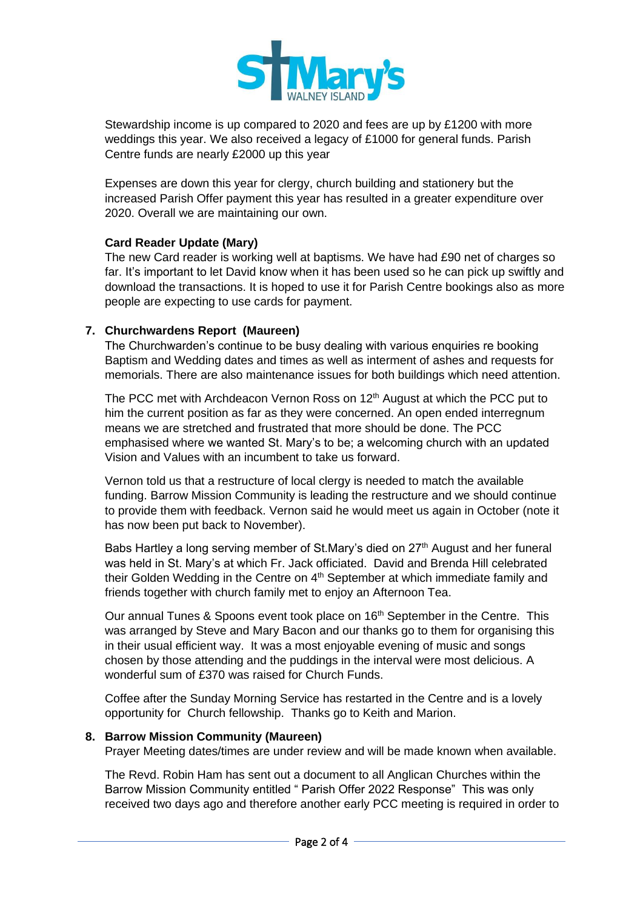

Stewardship income is up compared to 2020 and fees are up by £1200 with more weddings this year. We also received a legacy of £1000 for general funds. Parish Centre funds are nearly £2000 up this year

Expenses are down this year for clergy, church building and stationery but the increased Parish Offer payment this year has resulted in a greater expenditure over 2020. Overall we are maintaining our own.

# **Card Reader Update (Mary)**

The new Card reader is working well at baptisms. We have had £90 net of charges so far. It's important to let David know when it has been used so he can pick up swiftly and download the transactions. It is hoped to use it for Parish Centre bookings also as more people are expecting to use cards for payment.

## **7. Churchwardens Report (Maureen)**

The Churchwarden's continue to be busy dealing with various enquiries re booking Baptism and Wedding dates and times as well as interment of ashes and requests for memorials. There are also maintenance issues for both buildings which need attention.

The PCC met with Archdeacon Vernon Ross on 12<sup>th</sup> August at which the PCC put to him the current position as far as they were concerned. An open ended interregnum means we are stretched and frustrated that more should be done. The PCC emphasised where we wanted St. Mary's to be; a welcoming church with an updated Vision and Values with an incumbent to take us forward.

Vernon told us that a restructure of local clergy is needed to match the available funding. Barrow Mission Community is leading the restructure and we should continue to provide them with feedback. Vernon said he would meet us again in October (note it has now been put back to November).

Babs Hartley a long serving member of St.Mary's died on 27<sup>th</sup> August and her funeral was held in St. Mary's at which Fr. Jack officiated. David and Brenda Hill celebrated their Golden Wedding in the Centre on  $4<sup>th</sup>$  September at which immediate family and friends together with church family met to enjoy an Afternoon Tea.

Our annual Tunes & Spoons event took place on 16<sup>th</sup> September in the Centre. This was arranged by Steve and Mary Bacon and our thanks go to them for organising this in their usual efficient way. It was a most enjoyable evening of music and songs chosen by those attending and the puddings in the interval were most delicious. A wonderful sum of £370 was raised for Church Funds.

Coffee after the Sunday Morning Service has restarted in the Centre and is a lovely opportunity for Church fellowship. Thanks go to Keith and Marion.

### **8. Barrow Mission Community (Maureen)**

Prayer Meeting dates/times are under review and will be made known when available.

The Revd. Robin Ham has sent out a document to all Anglican Churches within the Barrow Mission Community entitled " Parish Offer 2022 Response" This was only received two days ago and therefore another early PCC meeting is required in order to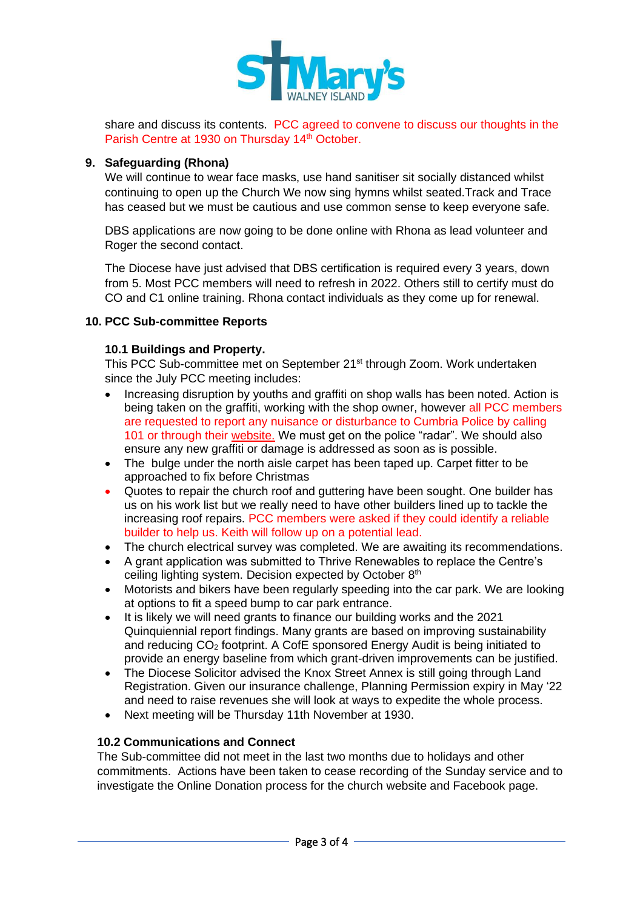

share and discuss its contents. PCC agreed to convene to discuss our thoughts in the Parish Centre at 1930 on Thursday 14<sup>th</sup> October.

## **9. Safeguarding (Rhona)**

We will continue to wear face masks, use hand sanitiser sit socially distanced whilst continuing to open up the Church We now sing hymns whilst seated.Track and Trace has ceased but we must be cautious and use common sense to keep everyone safe.

DBS applications are now going to be done online with Rhona as lead volunteer and Roger the second contact.

The Diocese have just advised that DBS certification is required every 3 years, down from 5. Most PCC members will need to refresh in 2022. Others still to certify must do CO and C1 online training. Rhona contact individuals as they come up for renewal.

### **10. PCC Sub-committee Reports**

## **10.1 Buildings and Property.**

This PCC Sub-committee met on September 21<sup>st</sup> through Zoom. Work undertaken since the July PCC meeting includes:

- Increasing disruption by youths and graffiti on shop walls has been noted. Action is being taken on the graffiti, working with the shop owner, however all PCC members are requested to report any nuisance or disturbance to Cumbria Police by calling 101 or through their [website.](https://www.cumbria.police.uk/Report-It/Report-a-Crime/Online-Non-Emergency-Crime-and-Incident-Reporting-Form.aspx) We must get on the police "radar". We should also ensure any new graffiti or damage is addressed as soon as is possible.
- The bulge under the north aisle carpet has been taped up. Carpet fitter to be approached to fix before Christmas
- Quotes to repair the church roof and guttering have been sought. One builder has us on his work list but we really need to have other builders lined up to tackle the increasing roof repairs. PCC members were asked if they could identify a reliable builder to help us. Keith will follow up on a potential lead.
- The church electrical survey was completed. We are awaiting its recommendations.
- A grant application was submitted to Thrive Renewables to replace the Centre's ceiling lighting system. Decision expected by October 8<sup>th</sup>
- Motorists and bikers have been regularly speeding into the car park. We are looking at options to fit a speed bump to car park entrance.
- It is likely we will need grants to finance our building works and the 2021 Quinquiennial report findings. Many grants are based on improving sustainability and reducing  $CO<sub>2</sub>$  footprint. A CofE sponsored Energy Audit is being initiated to provide an energy baseline from which grant-driven improvements can be justified.
- The Diocese Solicitor advised the Knox Street Annex is still going through Land Registration. Given our insurance challenge, Planning Permission expiry in May '22 and need to raise revenues she will look at ways to expedite the whole process.
- Next meeting will be Thursday 11th November at 1930.

### **10.2 Communications and Connect**

The Sub-committee did not meet in the last two months due to holidays and other commitments. Actions have been taken to cease recording of the Sunday service and to investigate the Online Donation process for the church website and Facebook page.